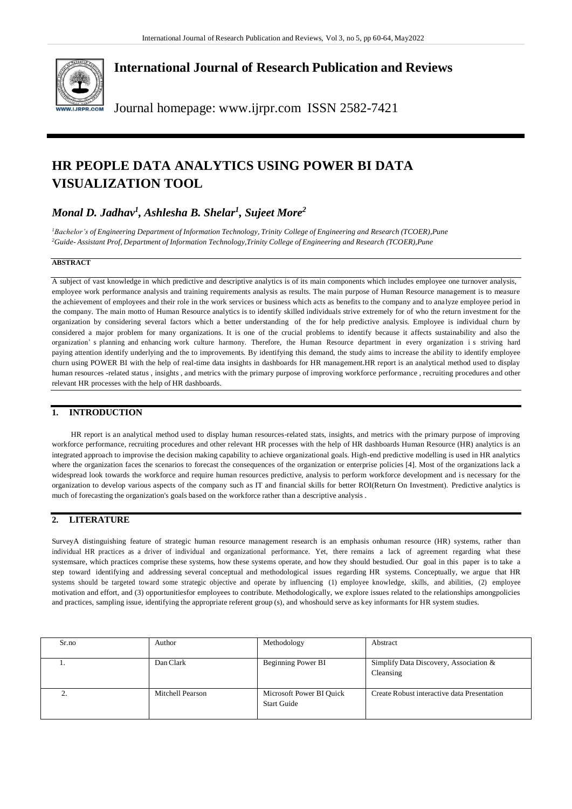

**International Journal of Research Publication and Reviews**

Journal homepage: [www.ijrpr.com](http://www.ijrpr.com/) ISSN 2582-7421

# **HR PEOPLE DATA ANALYTICS USING POWER BI DATA VISUALIZATION TOOL**

## *Monal D. Jadhav<sup>1</sup> , Ashlesha B. Shelar<sup>1</sup> , Sujeet More<sup>2</sup>*

<sup>1</sup>Bachelor's of Engineering Department of Information Technology, Trinity College of Engineering and Research (TCOER), Pune *<sup>2</sup>Guide- Assistant Prof, Department of Information Technology,Trinity College of Engineering and Research (TCOER),Pune*

## **ABSTRACT**

A subject of vast knowledge in which predictive and descriptive analytics is of its main components which includes employee one turnover analysis, employee work performance analysis and training requirements analysis as results. The main purpose of Human Resource management is to measure the achievement of employees and their role in the work services or business which acts as benefits to the company and to analyze employee period in the company. The main motto of Human Resource analytics is to identify skilled individuals strive extremely for of who the return investment for the organization by considering several factors which a better understanding of the for help predictive analysis. Employee is individual churn by considered a major problem for many organizations. It is one of the crucial problems to identify because it affects sustainability and also the organization' s planning and enhancing work culture harmony. Therefore, the Human Resource department in every organization i s striving hard paying attention identify underlying and the to improvements. By identifying this demand, the study aims to increase the ability to identify employee churn using POWER BI with the help of real-time data insights in dashboards for HR management.HR report is an analytical method used to display human resources -related status , insights , and metrics with the primary purpose of improving workforce performance , recruiting procedures and other relevant HR processes with the help of HR dashboards.

## **1. INTRODUCTION**

HR report is an analytical method used to display human resources-related stats, insights, and metrics with the primary purpose of improving workforce performance, recruiting procedures and other relevant HR processes with the help of HR dashboards Human Resource (HR) analytics is an integrated approach to improvise the decision making capability to achieve organizational goals. High-end predictive modelling is used in HR analytics where the organization faces the scenarios to forecast the consequences of the organization or enterprise policies [4]. Most of the organizations lack a widespread look towards the workforce and require human resources predictive, analysis to perform workforce development and is necessary for the organization to develop various aspects of the company such as IT and financial skills for better ROI(Return On Investment). Predictive analytics is much of forecasting the organization's goals based on the workforce rather than a descriptive analysis .

## **2. LITERATURE**

SurveyA distinguishing feature of strategic human resource management research is an emphasis onhuman resource (HR) systems, rather than individual HR practices as a driver of individual and organizational performance. Yet, there remains a lack of agreement regarding what these systemsare, which practices comprise these systems, how these systems operate, and how they should bestudied. Our goal in this paper is to take a step toward identifying and addressing several conceptual and methodological issues regarding HR systems. Conceptually, we argue that HR systems should be targeted toward some strategic objective and operate by influencing (1) employee knowledge, skills, and abilities, (2) employee motivation and effort, and (3) opportunitiesfor employees to contribute. Methodologically, we explore issues related to the relationships amongpolicies and practices, sampling issue, identifying the appropriate referent group (s), and whoshould serve as key informants for HR system studies.

| Sr.no | Author           | Methodology                                    | Abstract                                            |
|-------|------------------|------------------------------------------------|-----------------------------------------------------|
|       | Dan Clark        | Beginning Power BI                             | Simplify Data Discovery, Association &<br>Cleansing |
|       | Mitchell Pearson | Microsoft Power BI Quick<br><b>Start Guide</b> | Create Robust interactive data Presentation         |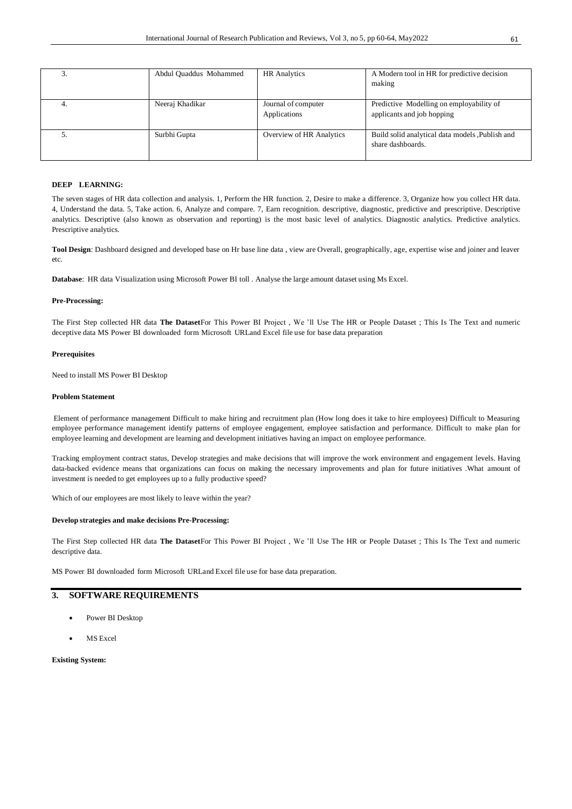| Abdul Quaddus Mohammed | <b>HR</b> Analytics                 | A Modern tool in HR for predictive decision<br>making                  |
|------------------------|-------------------------------------|------------------------------------------------------------------------|
| Neeraj Khadikar        | Journal of computer<br>Applications | Predictive Modelling on employability of<br>applicants and job hopping |
| Surbhi Gupta           | Overview of HR Analytics            | Build solid analytical data models , Publish and<br>share dashboards.  |

## **DEEP LEARNING:**

The seven stages of HR data collection and analysis. 1, Perform the HR function. 2, Desire to make a difference. 3, Organize how you collect HR data. 4, Understand the data. 5, Take action. 6, Analyze and compare. 7, Earn recognition. descriptive, diagnostic, predictive and prescriptive. Descriptive analytics. Descriptive (also known as observation and reporting) is the most basic level of analytics. Diagnostic analytics. Predictive analytics. Prescriptive analytics.

**Tool Design**: Dashboard designed and developed base on Hr base line data , view are Overall, geographically, age, expertise wise and joiner and leaver etc.

**Database**: HR data Visualization using Microsoft Power BI toll . Analyse the large amount dataset using Ms Excel.

### **Pre-Processing:**

The First Step collected HR data **The Dataset**For This Power BI Project , We 'll Use The HR or People Dataset ; This Is The Text and numeric deceptive data MS Power BI downloaded form Microsoft URLand Excel file use for base data preparation

## **Prerequisites**

Need to install MS Power BI Desktop

### **Problem Statement**

Element of performance management Difficult to make hiring and recruitment plan (How long does it take to hire employees) Difficult to Measuring employee performance management identify patterns of employee engagement, employee satisfaction and performance. Difficult to make plan for employee learning and development are learning and development initiatives having an impact on employee performance.

Tracking employment contract status, Develop strategies and make decisions that will improve the work environment and engagement levels. Having data-backed evidence means that organizations can focus on making the necessary improvements and plan for future initiatives .What amount of investment is needed to get employees up to a fully productive speed?

Which of our employees are most likely to leave within the year?

#### **Develop strategies and make decisions Pre-Processing:**

The First Step collected HR data **The Dataset**For This Power BI Project , We 'll Use The HR or People Dataset ; This Is The Text and numeric descriptive data.

MS Power BI downloaded form Microsoft URLand Excel file use for base data preparation.

## **3. SOFTWARE REQUIREMENTS**

- Power BI Desktop
- MS Excel

**Existing System:**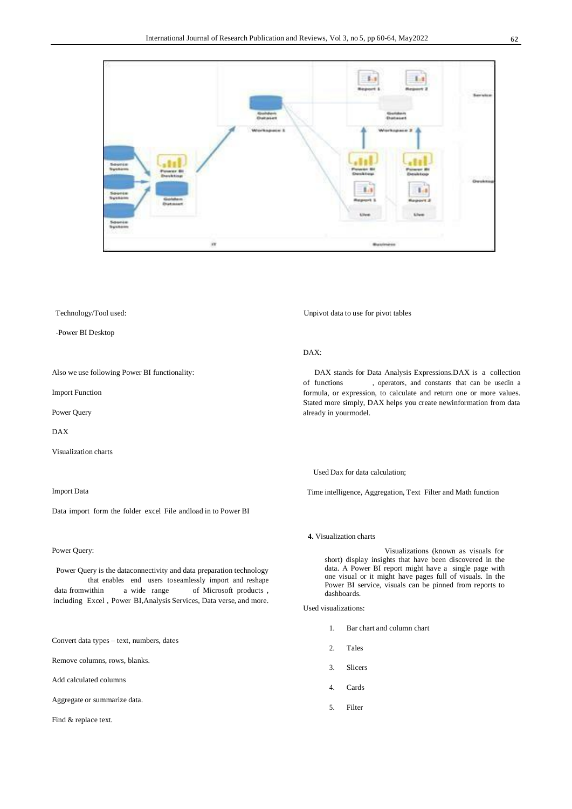

## Technology/Tool used:

-Power BI Desktop

Also we use following Power BI functionality:

Import Function

Power Query

DAX

Visualization charts

## Import Data

Data import form the folder excel File andload in to Power BI

#### Power Query:

Power Query is the dataconnectivity and data preparation technology that enables end users toseamlessly import and reshape data fromwithin a wide range of Microsoft products , including Excel , Power BI,Analysis Services, Data verse, and more.

Convert data types – text, numbers, dates

Remove columns, rows, blanks.

Add calculated columns

Aggregate or summarize data.

Find & replace text.

Unpivot data to use for pivot tables

#### DAX:

DAX stands for Data Analysis Expressions.DAX is a collection of functions , operators, and constants that can be usedin a formula, or expression, to calculate and return one or more values. Stated more simply, DAX helps you create newinformation from data already in yourmodel.

Used Dax for data calculation;

Time intelligence, Aggregation, Text Filter and Math function

**4.** Visualization charts

Visualizations (known as visuals for short) display insights that have been discovered in the data. A Power BI report might have a single page with one visual or it might have pages full of visuals. In the Power BI service, visuals can be pinned from reports to dashboards.

Used visualizations:

- 1. Bar chart and column chart
- 2. Tales
- 3. Slicers
- 4. Cards
- 5. Filter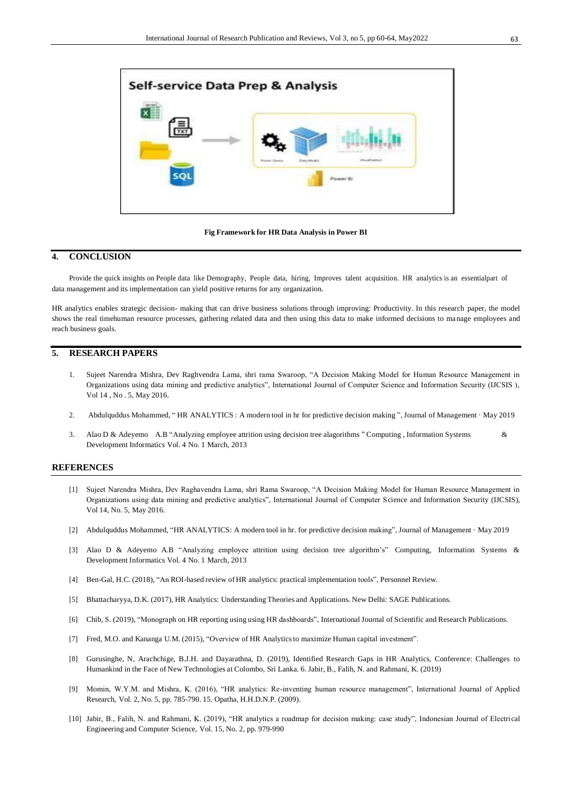

**Fig Framework for HR Data Analysis in Power BI**

## **4. CONCLUSION**

Provide the quick insights on People data like Demography, People data, hiring, Improves talent acquisition. HR analytics is an essentialpart of data management and its implementation can yield positive returns for any organization.

HR analytics enables strategic decision- making that can drive business solutions through improving: Productivity. In this research paper, the model shows the real timehuman resource processes, gathering related data and then using this data to make informed decisions to ma nage employees and reach business goals.

## **5. RESEARCH PAPERS**

- 1. Sujeet Narendra Mishra, Dev Raghvendra Lama, shri rama Swaroop, "A Decision Making Model for Human Resource Management in Organizations using data mining and predictive analytics", International Journal of Computer Science and Information Security (IJCSIS ), Vol 14 , No . 5, May 2016.
- 2. Abdulquddus Mohammed, " HR ANALYTICS : A modern tool in hr for predictive decision making ", Journal of Management · May 2019
- 3. Alao D & Adeyemo A.B "Analyzing employee attrition using decision tree alagorithms " Computing , Information Systems & Development Informatics Vol. 4 No. 1 March, 2013

### **REFERENCES**

- [1] Sujeet Narendra Mishra, Dev Raghavendra Lama, shri Rama Swaroop, "A Decision Making Model for Human Resource Management in Organizations using data mining and predictive analytics", International Journal of Computer Science and Information Security (IJCSIS), Vol 14, No. 5, May 2016.
- [2] Abdulquddus Mohammed, "HR ANALYTICS: A modern tool in hr. for predictive decision making", Journal of Management · May 2019
- [3] Alao D & Adeyemo A.B "Analyzing employee attrition using decision tree algorithm's" Computing, Information Systems & Development Informatics Vol. 4 No. 1 March, 2013
- [4] Ben-Gal, H.C. (2018), "An ROI-based review of HR analytics: practical implementation tools", Personnel Review.
- [5] Bhattacharyya, D.K. (2017), HR Analytics: Understanding Theories and Applications. New Delhi: SAGE Publications.
- [6] Chib, S. (2019), "Monograph on HR reporting using using HR dashboards", International Journal of Scientific and Research Publications.
- [7] Fred, M.O. and Kananga U.M. (2015), "Overview of HR Analyticsto maximize Human capital investment".
- [8] Gurusinghe, N, Arachchige, B.J.H. and Dayarathna, D. (2019), Identified Research Gaps in HR Analytics, Conference: Challenges to Humankind in the Face of New Technologies at Colombo, Sri Lanka. 6. Jabir, B., Falih, N. and Rahmani, K. (2019)
- [9] Momin, W.Y.M. and Mishra, K. (2016), "HR analytics: Re-inventing human resource management", International Journal of Applied Research, Vol. 2, No. 5, pp. 785-790. 15. Opatha, H.H.D.N.P. (2009).
- [10] Jabir, B., Falih, N. and Rahmani, K. (2019), "HR analytics a roadmap for decision making: case study", Indonesian Journal of Electrical Engineering and Computer Science, Vol. 15, No. 2, pp. 979-990